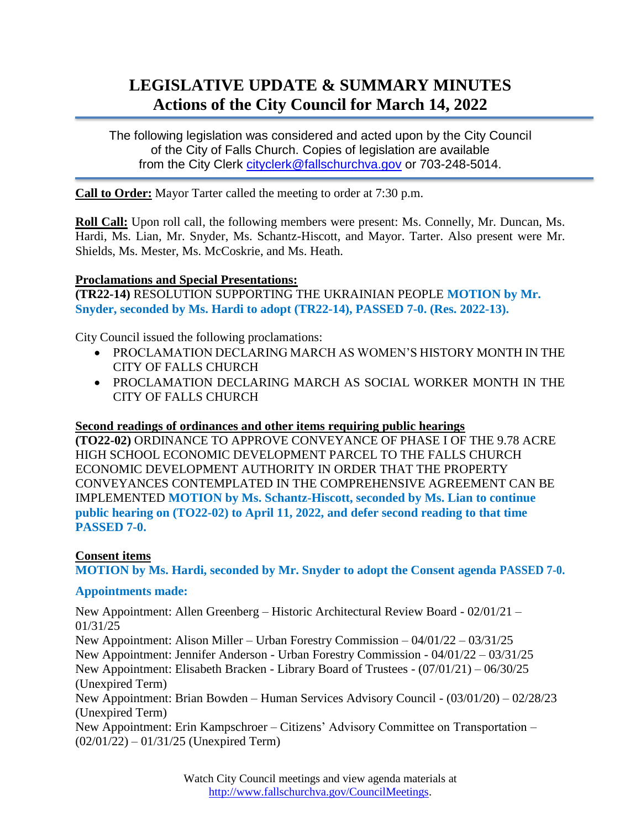# **LEGISLATIVE UPDATE & SUMMARY MINUTES Actions of the City Council for March 14, 2022**

The following legislation was considered and acted upon by the City Council of the City of Falls Church. Copies of legislation are available from the City Clerk [cityclerk@fallschurchva.gov](mailto:cityclerk@fallschurchva.gov) or 703-248-5014.

**Call to Order:** Mayor Tarter called the meeting to order at 7:30 p.m.

**Roll Call:** Upon roll call, the following members were present: Ms. Connelly, Mr. Duncan, Ms. Hardi, Ms. Lian, Mr. Snyder, Ms. Schantz-Hiscott, and Mayor. Tarter. Also present were Mr. Shields, Ms. Mester, Ms. McCoskrie, and Ms. Heath.

#### **Proclamations and Special Presentations:**

**(TR22-14)** RESOLUTION SUPPORTING THE UKRAINIAN PEOPLE **MOTION by Mr. Snyder, seconded by Ms. Hardi to adopt (TR22-14), PASSED 7-0. (Res. 2022-13).**

City Council issued the following proclamations:

- PROCLAMATION DECLARING MARCH AS WOMEN'S HISTORY MONTH IN THE CITY OF FALLS CHURCH
- PROCLAMATION DECLARING MARCH AS SOCIAL WORKER MONTH IN THE CITY OF FALLS CHURCH

#### **Second readings of ordinances and other items requiring public hearings**

**(TO22-02)** ORDINANCE TO APPROVE CONVEYANCE OF PHASE I OF THE 9.78 ACRE HIGH SCHOOL ECONOMIC DEVELOPMENT PARCEL TO THE FALLS CHURCH ECONOMIC DEVELOPMENT AUTHORITY IN ORDER THAT THE PROPERTY CONVEYANCES CONTEMPLATED IN THE COMPREHENSIVE AGREEMENT CAN BE IMPLEMENTED **MOTION by Ms. Schantz-Hiscott, seconded by Ms. Lian to continue public hearing on (TO22-02) to April 11, 2022, and defer second reading to that time PASSED 7-0.**

#### **Consent items**

**MOTION by Ms. Hardi, seconded by Mr. Snyder to adopt the Consent agenda PASSED 7-0.**

#### **Appointments made:**

New Appointment: Allen Greenberg – Historic Architectural Review Board - 02/01/21 – 01/31/25 New Appointment: Alison Miller – Urban Forestry Commission – 04/01/22 – 03/31/25 New Appointment: Jennifer Anderson - Urban Forestry Commission - 04/01/22 – 03/31/25 New Appointment: Elisabeth Bracken - Library Board of Trustees - (07/01/21) – 06/30/25 (Unexpired Term) New Appointment: Brian Bowden – Human Services Advisory Council - (03/01/20) – 02/28/23 (Unexpired Term) New Appointment: Erin Kampschroer – Citizens' Advisory Committee on Transportation – (02/01/22) – 01/31/25 (Unexpired Term)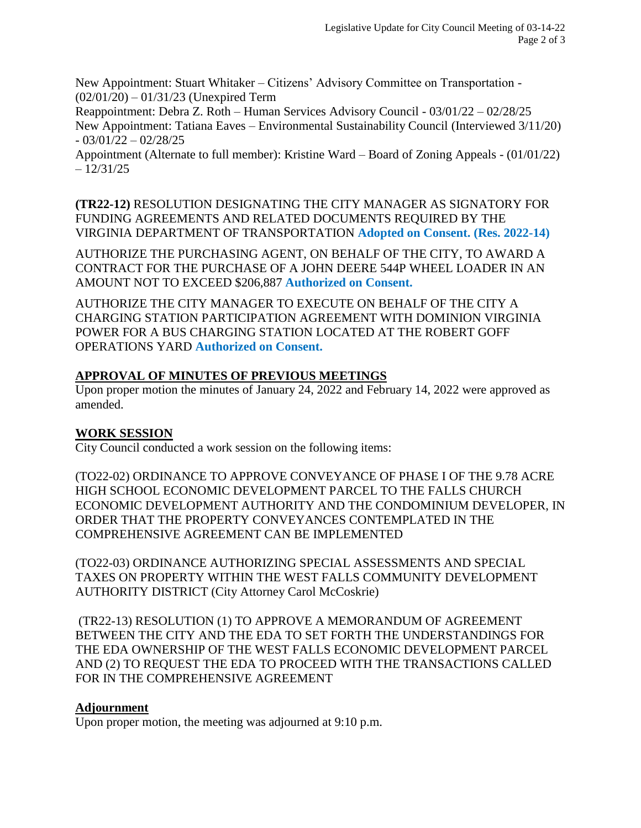New Appointment: Stuart Whitaker – Citizens' Advisory Committee on Transportation - (02/01/20) – 01/31/23 (Unexpired Term

Reappointment: Debra Z. Roth – Human Services Advisory Council - 03/01/22 – 02/28/25 New Appointment: Tatiana Eaves – Environmental Sustainability Council (Interviewed 3/11/20)  $-03/01/22 - 02/28/25$ 

Appointment (Alternate to full member): Kristine Ward – Board of Zoning Appeals - (01/01/22)  $-12/31/25$ 

**(TR22-12)** RESOLUTION DESIGNATING THE CITY MANAGER AS SIGNATORY FOR FUNDING AGREEMENTS AND RELATED DOCUMENTS REQUIRED BY THE VIRGINIA DEPARTMENT OF TRANSPORTATION **Adopted on Consent. (Res. 2022-14)**

AUTHORIZE THE PURCHASING AGENT, ON BEHALF OF THE CITY, TO AWARD A CONTRACT FOR THE PURCHASE OF A JOHN DEERE 544P WHEEL LOADER IN AN AMOUNT NOT TO EXCEED \$206,887 **Authorized on Consent.**

AUTHORIZE THE CITY MANAGER TO EXECUTE ON BEHALF OF THE CITY A CHARGING STATION PARTICIPATION AGREEMENT WITH DOMINION VIRGINIA POWER FOR A BUS CHARGING STATION LOCATED AT THE ROBERT GOFF OPERATIONS YARD **Authorized on Consent.**

# **APPROVAL OF MINUTES OF PREVIOUS MEETINGS**

Upon proper motion the minutes of January 24, 2022 and February 14, 2022 were approved as amended.

## **WORK SESSION**

City Council conducted a work session on the following items:

(TO22-02) ORDINANCE TO APPROVE CONVEYANCE OF PHASE I OF THE 9.78 ACRE HIGH SCHOOL ECONOMIC DEVELOPMENT PARCEL TO THE FALLS CHURCH ECONOMIC DEVELOPMENT AUTHORITY AND THE CONDOMINIUM DEVELOPER, IN ORDER THAT THE PROPERTY CONVEYANCES CONTEMPLATED IN THE COMPREHENSIVE AGREEMENT CAN BE IMPLEMENTED

(TO22-03) ORDINANCE AUTHORIZING SPECIAL ASSESSMENTS AND SPECIAL TAXES ON PROPERTY WITHIN THE WEST FALLS COMMUNITY DEVELOPMENT AUTHORITY DISTRICT (City Attorney Carol McCoskrie)

(TR22-13) RESOLUTION (1) TO APPROVE A MEMORANDUM OF AGREEMENT BETWEEN THE CITY AND THE EDA TO SET FORTH THE UNDERSTANDINGS FOR THE EDA OWNERSHIP OF THE WEST FALLS ECONOMIC DEVELOPMENT PARCEL AND (2) TO REQUEST THE EDA TO PROCEED WITH THE TRANSACTIONS CALLED FOR IN THE COMPREHENSIVE AGREEMENT

## **Adjournment**

Upon proper motion, the meeting was adjourned at 9:10 p.m.